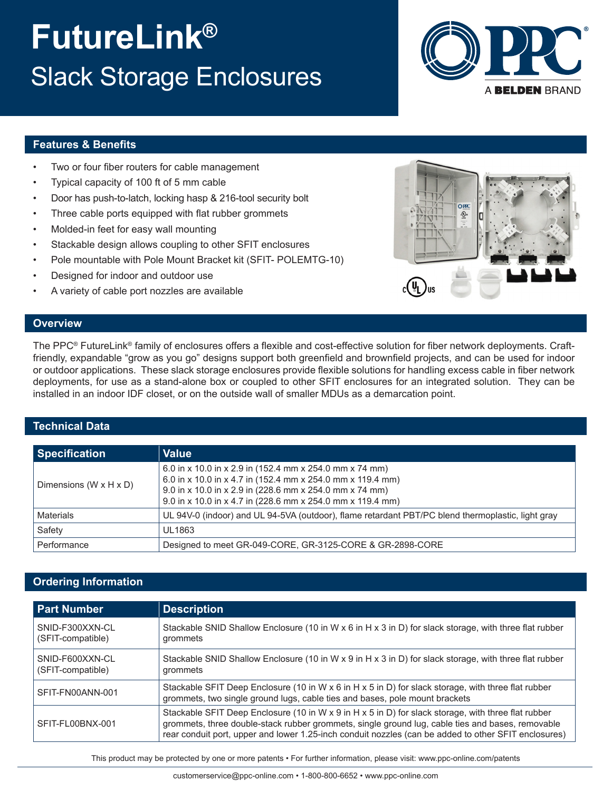# **FutureLink®** Slack Storage Enclosures



## **Features & Benefits**

- Two or four fiber routers for cable management
- Typical capacity of 100 ft of 5 mm cable
- Door has push-to-latch, locking hasp & 216-tool security bolt
- Three cable ports equipped with flat rubber grommets
- Molded-in feet for easy wall mounting
- Stackable design allows coupling to other SFIT enclosures
- Pole mountable with Pole Mount Bracket kit (SFIT- POLEMTG-10)
- Designed for indoor and outdoor use
- A variety of cable port nozzles are available



#### **Overview**

The PPC® FutureLink® family of enclosures offers a flexible and cost-effective solution for fiber network deployments. Craftfriendly, expandable "grow as you go" designs support both greenfield and brownfield projects, and can be used for indoor or outdoor applications. These slack storage enclosures provide flexible solutions for handling excess cable in fiber network deployments, for use as a stand-alone box or coupled to other SFIT enclosures for an integrated solution. They can be installed in an indoor IDF closet, or on the outside wall of smaller MDUs as a demarcation point.

### **Technical Data**

| <b>Specification</b>                 | <b>Value</b>                                                                                                                                                                                                                                   |
|--------------------------------------|------------------------------------------------------------------------------------------------------------------------------------------------------------------------------------------------------------------------------------------------|
| Dimensions (W $\times$ H $\times$ D) | 6.0 in x 10.0 in x 2.9 in (152.4 mm x 254.0 mm x 74 mm)<br>6.0 in x 10.0 in x 4.7 in (152.4 mm x 254.0 mm x 119.4 mm)<br>9.0 in x 10.0 in x 2.9 in (228.6 mm x 254.0 mm x 74 mm)<br>9.0 in x 10.0 in x 4.7 in (228.6 mm x 254.0 mm x 119.4 mm) |
| <b>Materials</b>                     | UL 94V-0 (indoor) and UL 94-5VA (outdoor), flame retardant PBT/PC blend thermoplastic, light gray                                                                                                                                              |
| Safety                               | UL1863                                                                                                                                                                                                                                         |
| Performance                          | Designed to meet GR-049-CORE, GR-3125-CORE & GR-2898-CORE                                                                                                                                                                                      |

## **Ordering Information**

| <b>Part Number</b>                   | <b>Description</b>                                                                                                                                                                                                                                                                                              |
|--------------------------------------|-----------------------------------------------------------------------------------------------------------------------------------------------------------------------------------------------------------------------------------------------------------------------------------------------------------------|
| SNID-F300XXN-CL<br>(SFIT-compatible) | Stackable SNID Shallow Enclosure (10 in W $\times$ 6 in H $\times$ 3 in D) for slack storage, with three flat rubber<br>grommets                                                                                                                                                                                |
| SNID-F600XXN-CL<br>(SFIT-compatible) | Stackable SNID Shallow Enclosure (10 in W x 9 in H x 3 in D) for slack storage, with three flat rubber<br>grommets                                                                                                                                                                                              |
| SFIT-FN00ANN-001                     | Stackable SFIT Deep Enclosure (10 in W $\times$ 6 in H $\times$ 5 in D) for slack storage, with three flat rubber<br>grommets, two single ground lugs, cable ties and bases, pole mount brackets                                                                                                                |
| SFIT-FL00BNX-001                     | Stackable SFIT Deep Enclosure (10 in W x 9 in H x 5 in D) for slack storage, with three flat rubber<br>grommets, three double-stack rubber grommets, single ground lug, cable ties and bases, removable<br>rear conduit port, upper and lower 1.25-inch conduit nozzles (can be added to other SFIT enclosures) |

This product may be protected by one or more patents • For further information, please visit: www.ppc-online.com/patents